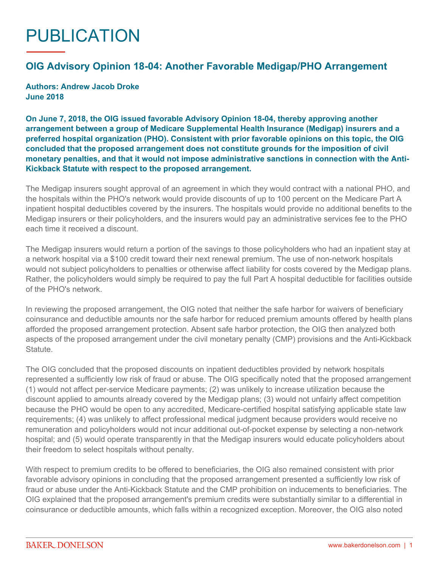## PUBLICATION

## **OIG Advisory Opinion 18-04: Another Favorable Medigap/PHO Arrangement**

**Authors: Andrew Jacob Droke June 2018**

**On June 7, 2018, the OIG issued favorable [Advisory Opinion 18-04](https://oig.hhs.gov/fraud/docs/advisoryopinions/2018/AdvOpn18-04.pdf), thereby approving another arrangement between a group of Medicare Supplemental Health Insurance (Medigap) insurers and a preferred hospital organization (PHO). Consistent with prior favorable opinions on this topic, the OIG concluded that the proposed arrangement does not constitute grounds for the imposition of civil monetary penalties, and that it would not impose administrative sanctions in connection with the Anti-Kickback Statute with respect to the proposed arrangement.**

The Medigap insurers sought approval of an agreement in which they would contract with a national PHO, and the hospitals within the PHO's network would provide discounts of up to 100 percent on the Medicare Part A inpatient hospital deductibles covered by the insurers. The hospitals would provide no additional benefits to the Medigap insurers or their policyholders, and the insurers would pay an administrative services fee to the PHO each time it received a discount.

The Medigap insurers would return a portion of the savings to those policyholders who had an inpatient stay at a network hospital via a \$100 credit toward their next renewal premium. The use of non-network hospitals would not subject policyholders to penalties or otherwise affect liability for costs covered by the Medigap plans. Rather, the policyholders would simply be required to pay the full Part A hospital deductible for facilities outside of the PHO's network.

In reviewing the proposed arrangement, the OIG noted that neither the safe harbor for waivers of beneficiary coinsurance and deductible amounts nor the safe harbor for reduced premium amounts offered by health plans afforded the proposed arrangement protection. Absent safe harbor protection, the OIG then analyzed both aspects of the proposed arrangement under the civil monetary penalty (CMP) provisions and the Anti-Kickback Statute.

The OIG concluded that the proposed discounts on inpatient deductibles provided by network hospitals represented a sufficiently low risk of fraud or abuse. The OIG specifically noted that the proposed arrangement (1) would not affect per-service Medicare payments; (2) was unlikely to increase utilization because the discount applied to amounts already covered by the Medigap plans; (3) would not unfairly affect competition because the PHO would be open to any accredited, Medicare-certified hospital satisfying applicable state law requirements; (4) was unlikely to affect professional medical judgment because providers would receive no remuneration and policyholders would not incur additional out-of-pocket expense by selecting a non-network hospital; and (5) would operate transparently in that the Medigap insurers would educate policyholders about their freedom to select hospitals without penalty.

With respect to premium credits to be offered to beneficiaries, the OIG also remained consistent with prior favorable advisory opinions in concluding that the proposed arrangement presented a sufficiently low risk of fraud or abuse under the Anti-Kickback Statute and the CMP prohibition on inducements to beneficiaries. The OIG explained that the proposed arrangement's premium credits were substantially similar to a differential in coinsurance or deductible amounts, which falls within a recognized exception. Moreover, the OIG also noted